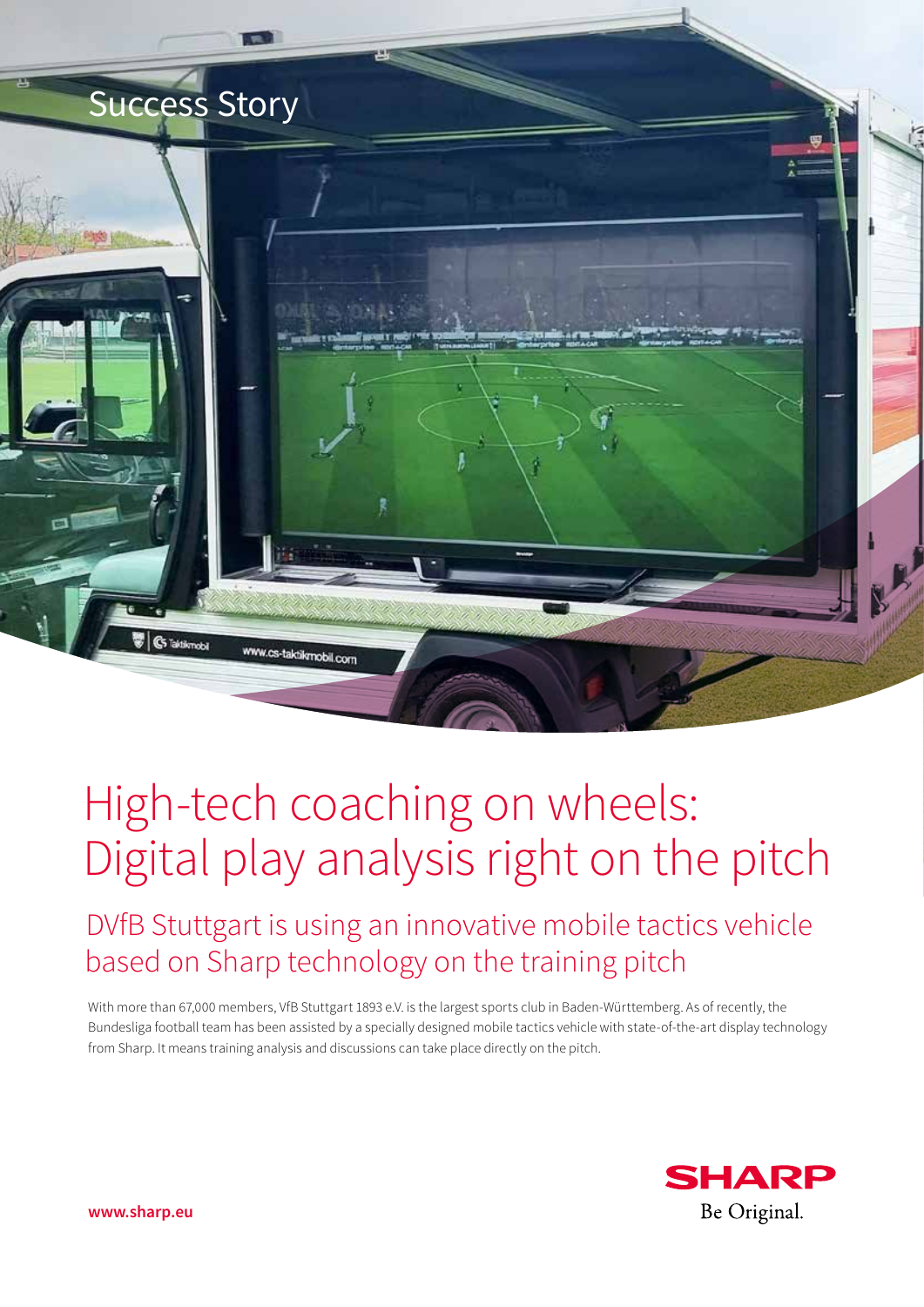

# High-tech coaching on wheels: Digital play analysis right on the pitch

DVfB Stuttgart is using an innovative mobile tactics vehicle based on Sharp technology on the training pitch

With more than 67,000 members, VfB Stuttgart 1893 e.V. is the largest sports club in Baden-Württemberg. As of recently, the Bundesliga football team has been assisted by a specially designed mobile tactics vehicle with state-of-the-art display technology from Sharp. It means training analysis and discussions can take place directly on the pitch.



**www.sharp.eu**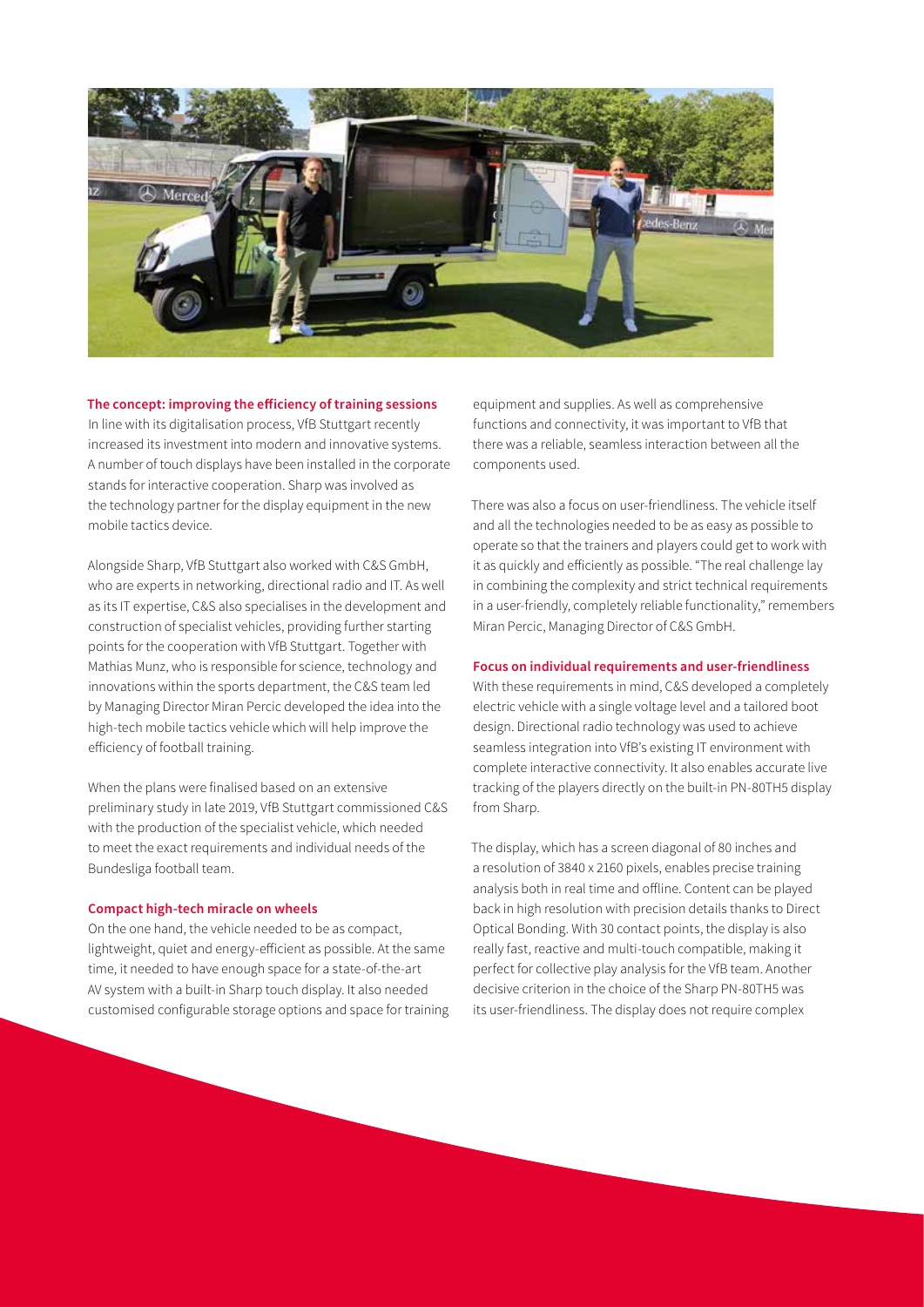

#### **The concept: improving the efficiency of training sessions**

In line with its digitalisation process, VfB Stuttgart recently increased its investment into modern and innovative systems. A number of touch displays have been installed in the corporate stands for interactive cooperation. Sharp was involved as the technology partner for the display equipment in the new mobile tactics device.

Alongside Sharp, VfB Stuttgart also worked with C&S GmbH, who are experts in networking, directional radio and IT. As well as its IT expertise, C&S also specialises in the development and construction of specialist vehicles, providing further starting points for the cooperation with VfB Stuttgart. Together with Mathias Munz, who is responsible for science, technology and innovations within the sports department, the C&S team led by Managing Director Miran Percic developed the idea into the high-tech mobile tactics vehicle which will help improve the efficiency of football training.

When the plans were finalised based on an extensive preliminary study in late 2019, VfB Stuttgart commissioned C&S with the production of the specialist vehicle, which needed to meet the exact requirements and individual needs of the Bundesliga football team.

#### **Compact high-tech miracle on wheels**

On the one hand, the vehicle needed to be as compact, lightweight, quiet and energy-efficient as possible. At the same time, it needed to have enough space for a state-of-the-art AV system with a built-in Sharp touch display. It also needed customised configurable storage options and space for training

equipment and supplies. As well as comprehensive functions and connectivity, it was important to VfB that there was a reliable, seamless interaction between all the components used.

There was also a focus on user-friendliness. The vehicle itself and all the technologies needed to be as easy as possible to operate so that the trainers and players could get to work with it as quickly and efficiently as possible. "The real challenge lay in combining the complexity and strict technical requirements in a user-friendly, completely reliable functionality," remembers Miran Percic, Managing Director of C&S GmbH.

#### **Focus on individual requirements and user-friendliness**

With these requirements in mind, C&S developed a completely electric vehicle with a single voltage level and a tailored boot design. Directional radio technology was used to achieve seamless integration into VfB's existing IT environment with complete interactive connectivity. It also enables accurate live tracking of the players directly on the built-in PN-80TH5 display from Sharp.

The display, which has a screen diagonal of 80 inches and a resolution of 3840 x 2160 pixels, enables precise training analysis both in real time and offline. Content can be played back in high resolution with precision details thanks to Direct Optical Bonding. With 30 contact points, the display is also really fast, reactive and multi-touch compatible, making it perfect for collective play analysis for the VfB team. Another decisive criterion in the choice of the Sharp PN-80TH5 was its user-friendliness. The display does not require complex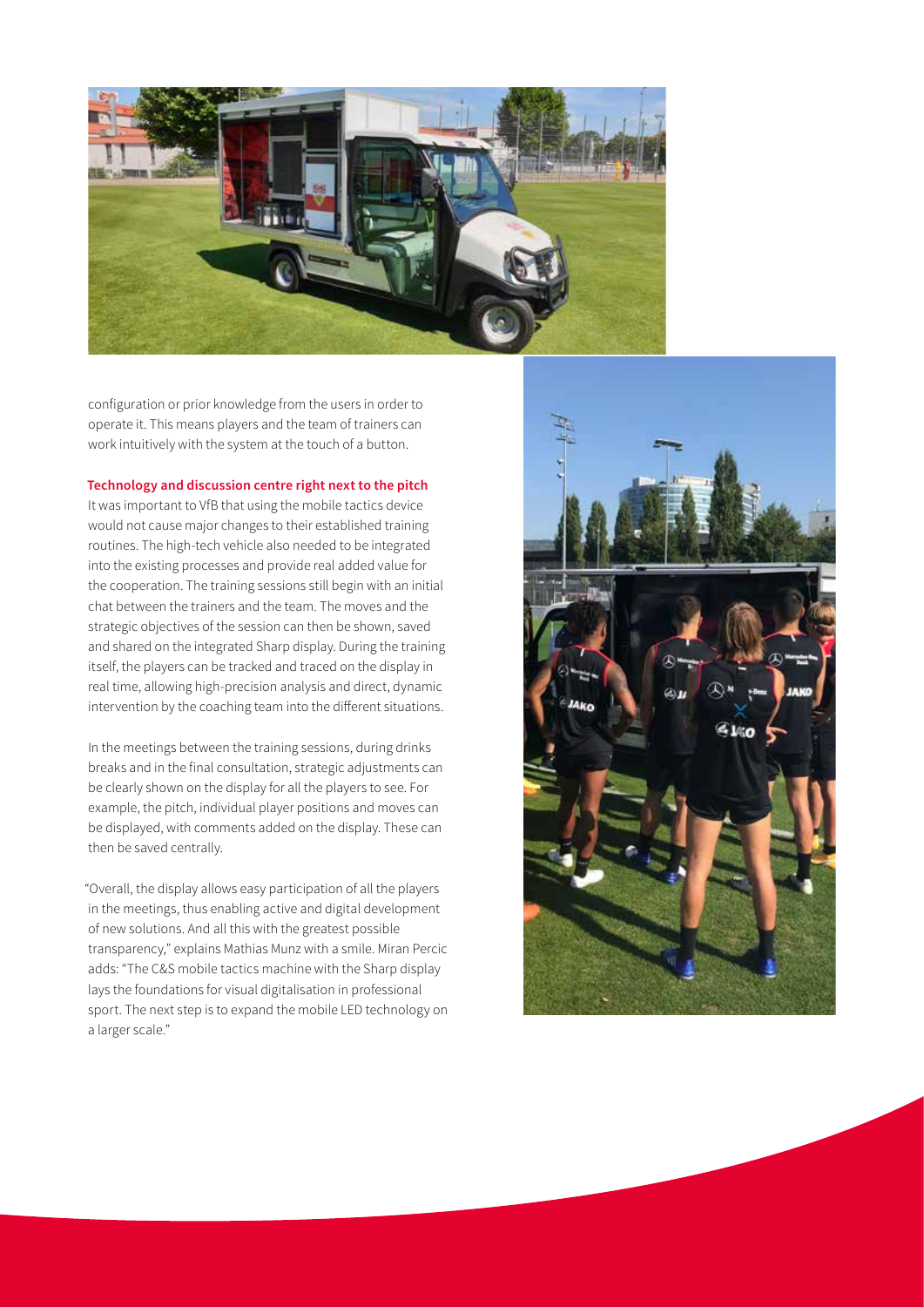

configuration or prior knowledge from the users in order to operate it. This means players and the team of trainers can work intuitively with the system at the touch of a button.

## **Technology and discussion centre right next to the pitch**

It was important to VfB that using the mobile tactics device would not cause major changes to their established training routines. The high-tech vehicle also needed to be integrated into the existing processes and provide real added value for the cooperation. The training sessions still begin with an initial chat between the trainers and the team. The moves and the strategic objectives of the session can then be shown, saved and shared on the integrated Sharp display. During the training itself, the players can be tracked and traced on the display in real time, allowing high-precision analysis and direct, dynamic intervention by the coaching team into the different situations.

In the meetings between the training sessions, during drinks breaks and in the final consultation, strategic adjustments can be clearly shown on the display for all the players to see. For example, the pitch, individual player positions and moves can be displayed, with comments added on the display. These can then be saved centrally.

"Overall, the display allows easy participation of all the players in the meetings, thus enabling active and digital development of new solutions. And all this with the greatest possible transparency," explains Mathias Munz with a smile. Miran Percic adds: "The C&S mobile tactics machine with the Sharp display lays the foundations for visual digitalisation in professional sport. The next step is to expand the mobile LED technology on a larger scale."